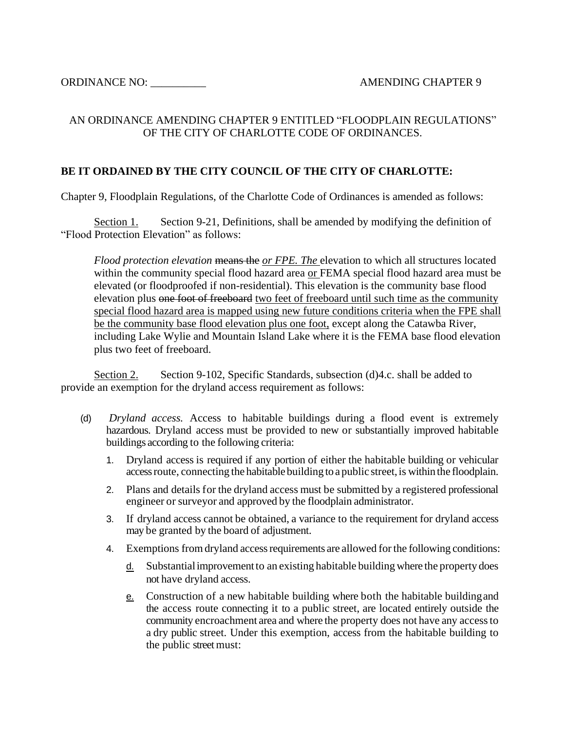## AN ORDINANCE AMENDING CHAPTER 9 ENTITLED "FLOODPLAIN REGULATIONS" OF THE CITY OF CHARLOTTE CODE OF ORDINANCES.

## **BE IT ORDAINED BY THE CITY COUNCIL OF THE CITY OF CHARLOTTE:**

Chapter 9, Floodplain Regulations, of the Charlotte Code of Ordinances is amended as follows:

Section 1. Section 9-21, Definitions, shall be amended by modifying the definition of "Flood Protection Elevation" as follows:

*Flood protection elevation* means the *or FPE. The* elevation to which all structures located within the community special flood hazard area or FEMA special flood hazard area must be elevated (or floodproofed if non-residential). This elevation is the community base flood elevation plus one foot of freeboard two feet of freeboard until such time as the community special flood hazard area is mapped using new future conditions criteria when the FPE shall be the community base flood elevation plus one foot, except along the Catawba River, including Lake Wylie and Mountain Island Lake where it is the FEMA base flood elevation plus two feet of freeboard.

Section 2. Section 9-102, Specific Standards, subsection (d) 4.c. shall be added to provide an exemption for the dryland access requirement as follows:

- (d) *Dryland access.* Access to habitable buildings during a flood event is extremely hazardous. Dryland access must be provided to new or substantially improved habitable buildings according to the following criteria:
	- 1. Dryland access is required if any portion of either the habitable building or vehicular access route, connecting the habitable building to a public street, is within the floodplain.
	- 2. Plans and details for the dryland access must be submitted by a registered professional engineer or surveyor and approved by the floodplain administrator.
	- 3. If dryland access cannot be obtained, a variance to the requirement for dryland access may be granted by the board of adjustment.
	- 4. Exemptions fromdryland accessrequirements are allowed forthe following conditions:
		- $\underline{d}$ . Substantial improvement to an existing habitable building where the property does not have dryland access.
		- e. Construction of a new habitable building where both the habitable buildingand the access route connecting it to a public street, are located entirely outside the community encroachment area and where the property does not have any accessto a dry public street. Under this exemption, access from the habitable building to the public street must: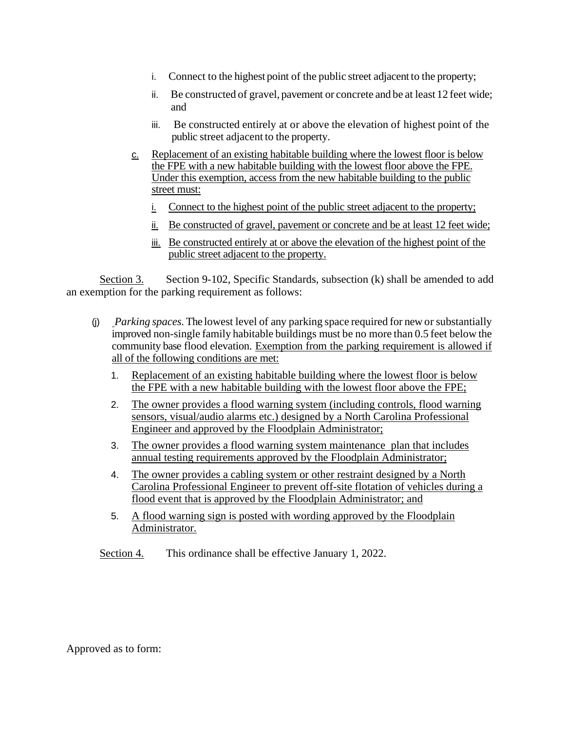- i. Connect to the highest point of the public street adjacent to the property;
- ii. Be constructed of gravel, pavement or concrete and be at least 12 feet wide; and
- iii. Be constructed entirely at or above the elevation of highest point of the public street adjacent to the property.
- c. Replacement of an existing habitable building where the lowest floor is below the FPE with a new habitable building with the lowest floor above the FPE. Under this exemption, access from the new habitable building to the public street must:
	- i. Connect to the highest point of the public street adjacent to the property;
	- ii. Be constructed of gravel, pavement or concrete and be at least 12 feet wide;
	- iii. Be constructed entirely at or above the elevation of the highest point of the public street adjacent to the property.

Section 3. Section 9-102, Specific Standards, subsection (k) shall be amended to add an exemption for the parking requirement as follows:

- (j) *Parking spaces.*The lowest level of any parking space required for newor substantially improved non-single family habitable buildings must be no more than 0.5 feet below the community base flood elevation. Exemption from the parking requirement is allowed if all of the following conditions are met:
	- 1. Replacement of an existing habitable building where the lowest floor is below the FPE with a new habitable building with the lowest floor above the FPE;
	- 2. The owner provides a flood warning system (including controls, flood warning sensors, visual/audio alarms etc.) designed by a North Carolina Professional Engineer and approved by the Floodplain Administrator;
	- 3. The owner provides a flood warning system maintenance plan that includes annual testing requirements approved by the Floodplain Administrator;
	- 4. The owner provides a cabling system or other restraint designed by a North Carolina Professional Engineer to prevent off-site flotation of vehicles during a flood event that is approved by the Floodplain Administrator; and
	- 5. A flood warning sign is posted with wording approved by the Floodplain Administrator.

Section 4. This ordinance shall be effective January 1, 2022.

Approved as to form: